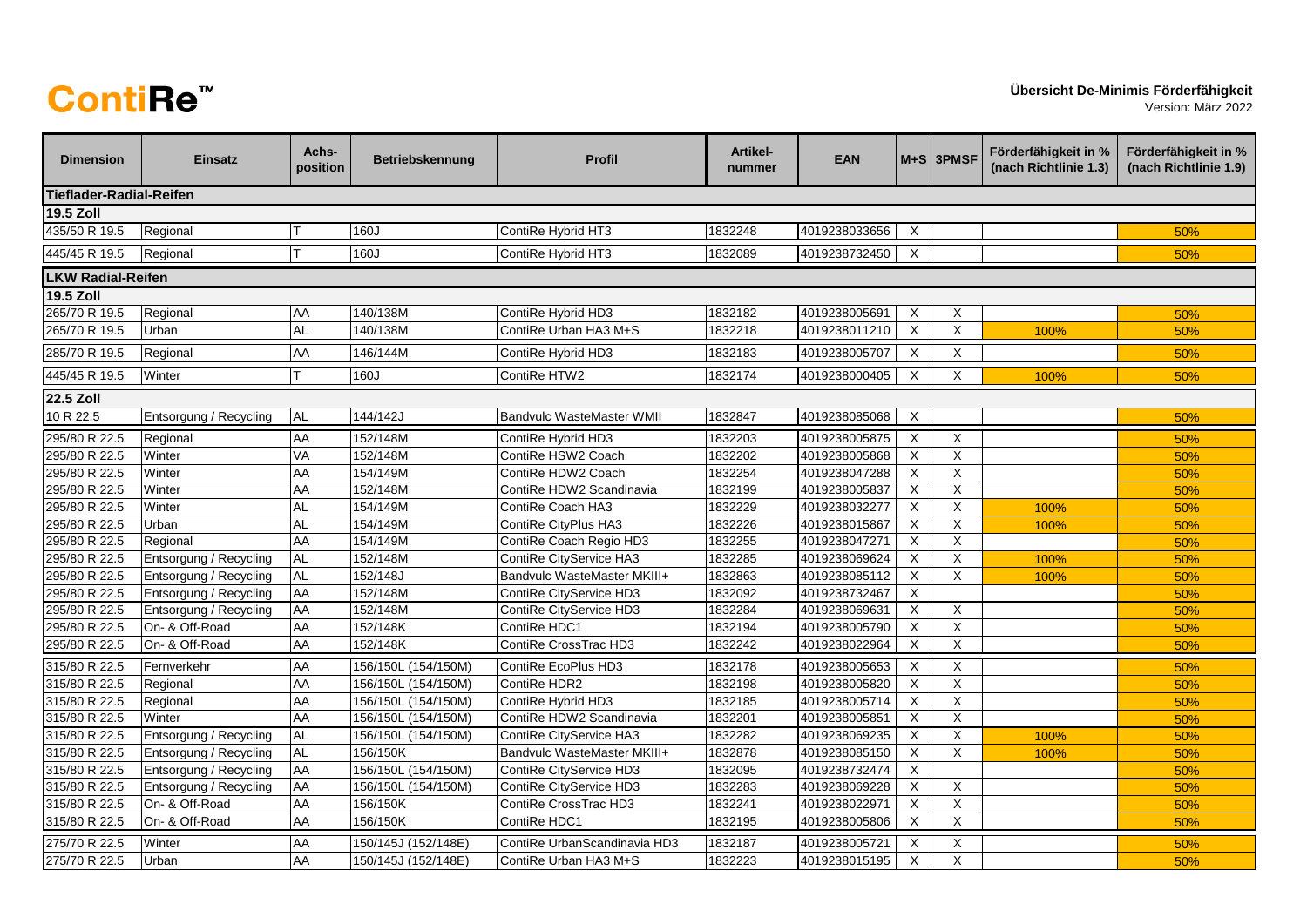## **ContiRe™**

Version: März 2022

| <b>Dimension</b>         | <b>Einsatz</b>         | Achs-<br>position | <b>Betriebskennung</b> | <b>Profil</b>                | Artikel-<br>nummer | <b>EAN</b>    |                | $M+S$ 3PMSF             | Förderfähigkeit in %<br>(nach Richtlinie 1.3) | Förderfähigkeit in %<br>(nach Richtlinie 1.9) |
|--------------------------|------------------------|-------------------|------------------------|------------------------------|--------------------|---------------|----------------|-------------------------|-----------------------------------------------|-----------------------------------------------|
| Tieflader-Radial-Reifen  |                        |                   |                        |                              |                    |               |                |                         |                                               |                                               |
| <b>19.5 Zoll</b>         |                        |                   |                        |                              |                    |               |                |                         |                                               |                                               |
| 435/50 R 19.5            | Regional               |                   | 160J                   | ContiRe Hybrid HT3           | 1832248            | 4019238033656 | X              |                         |                                               | 50%                                           |
| 445/45 R 19.5            | Regional               |                   | 160J                   | ContiRe Hybrid HT3           | 1832089            | 4019238732450 | X              |                         |                                               | 50%                                           |
| <b>LKW Radial-Reifen</b> |                        |                   |                        |                              |                    |               |                |                         |                                               |                                               |
| <b>19.5 Zoll</b>         |                        |                   |                        |                              |                    |               |                |                         |                                               |                                               |
| 265/70 R 19.5            | Regional               | AA                | 140/138M               | ContiRe Hybrid HD3           | 1832182            | 4019238005691 | X              | X                       |                                               | 50%                                           |
| 265/70 R 19.5            | Urban                  | <b>AL</b>         | 140/138M               | ContiRe Urban HA3 M+S        | 1832218            | 4019238011210 | X              | $\overline{\mathsf{x}}$ | 100%                                          | 50%                                           |
| 285/70 R 19.5            | Regional               | <b>AA</b>         | 146/144M               | ContiRe Hybrid HD3           | 1832183            | 4019238005707 | $\mathsf X$    | X                       |                                               | 50%                                           |
| 445/45 R 19.5            | Winter                 | T                 | 160J                   | ContiRe HTW2                 | 1832174            | 4019238000405 | X              | X                       | 100%                                          | 50%                                           |
| <b>22.5 Zoll</b>         |                        |                   |                        |                              |                    |               |                |                         |                                               |                                               |
| 10 R 22.5                | Entsorgung / Recycling | <b>AL</b>         | 144/142J               | Bandvulc WasteMaster WMII    | 1832847            | 4019238085068 | X              |                         |                                               | 50%                                           |
| 295/80 R 22.5            | Regional               | AA                | 152/148M               | ContiRe Hybrid HD3           | 1832203            | 4019238005875 | X              | X                       |                                               | 50%                                           |
| 295/80 R 22.5            | Winter                 | VA                | 152/148M               | ContiRe HSW2 Coach           | 1832202            | 4019238005868 | X              | X                       |                                               | 50%                                           |
| 295/80 R 22.5            | Winter                 | AA                | 154/149M               | ContiRe HDW2 Coach           | 1832254            | 4019238047288 | $\times$       | $\times$                |                                               | 50%                                           |
| 295/80 R 22.5            | Winter                 | AA                | 152/148M               | ContiRe HDW2 Scandinavia     | 1832199            | 4019238005837 | X              | $\overline{X}$          |                                               | 50%                                           |
| 295/80 R 22.5            | Winter                 | <b>AL</b>         | 154/149M               | ContiRe Coach HA3            | 1832229            | 4019238032277 | X              | X                       | 100%                                          | 50%                                           |
| 295/80 R 22.5            | Urban                  | <b>AL</b>         | 154/149M               | ContiRe CityPlus HA3         | 1832226            | 4019238015867 | $\mathsf X$    | $\times$                | 100%                                          | 50%                                           |
| 295/80 R 22.5            | Regional               | AA                | 154/149M               | ContiRe Coach Regio HD3      | 1832255            | 4019238047271 | X              | X                       |                                               | 50%                                           |
| 295/80 R 22.5            | Entsorgung / Recycling | <b>AL</b>         | 152/148M               | ContiRe CityService HA3      | 1832285            | 4019238069624 | X              | $\mathsf X$             | 100%                                          | 50%                                           |
| 295/80 R 22.5            | Entsorgung / Recycling | <b>AL</b>         | 152/148J               | Bandvulc WasteMaster MKIII+  | 1832863            | 4019238085112 | $\mathsf X$    | $\mathsf X$             | 100%                                          | 50%                                           |
| 295/80 R 22.5            | Entsorgung / Recycling | <b>AA</b>         | 152/148M               | ContiRe CityService HD3      | 1832092            | 4019238732467 | X              |                         |                                               | 50%                                           |
| 295/80 R 22.5            | Entsorgung / Recycling | AA                | 152/148M               | ContiRe CityService HD3      | 1832284            | 4019238069631 | X              | X                       |                                               | 50%                                           |
| 295/80 R 22.5            | On- & Off-Road         | AA                | 152/148K               | ContiRe HDC1                 | 1832194            | 4019238005790 | X              | X                       |                                               | 50%                                           |
| 295/80 R 22.5            | On- & Off-Road         | <b>AA</b>         | 152/148K               | ContiRe CrossTrac HD3        | 1832242            | 4019238022964 | X              | $\overline{X}$          |                                               | 50%                                           |
| 315/80 R 22.5            | Fernverkehr            | AA                | 156/150L (154/150M)    | ContiRe EcoPlus HD3          | 1832178            | 4019238005653 | $\sf X$        | $\mathsf X$             |                                               | 50%                                           |
| 315/80 R 22.5            | Regional               | AA                | 156/150L (154/150M)    | ContiRe HDR2                 | 1832198            | 4019238005820 | X              | X                       |                                               | 50%                                           |
| 315/80 R 22.5            | Regional               | AA                | 156/150L (154/150M)    | ContiRe Hybrid HD3           | 1832185            | 4019238005714 | X              | X                       |                                               | 50%                                           |
| 315/80 R 22.5            | Winter                 | AA                | 156/150L (154/150M)    | ContiRe HDW2 Scandinavia     | 1832201            | 4019238005851 | X              | $\overline{X}$          |                                               | 50%                                           |
| 315/80 R 22.5            | Entsorgung / Recycling | <b>AL</b>         | 156/150L (154/150M)    | ContiRe CityService HA3      | 1832282            | 4019238069235 | $\overline{X}$ | $\overline{X}$          | 100%                                          | 50%                                           |
| 315/80 R 22.5            | Entsorgung / Recycling | <b>AL</b>         | 156/150K               | Bandvulc WasteMaster MKIII+  | 1832878            | 4019238085150 | $\mathsf X$    | X                       | 100%                                          | 50%                                           |
| 315/80 R 22.5            | Entsorgung / Recycling | AA                | 156/150L (154/150M)    | ContiRe CityService HD3      | 1832095            | 4019238732474 | X              |                         |                                               | 50%                                           |
| 315/80 R 22.5            | Entsorgung / Recycling | AA                | 156/150L (154/150M)    | ContiRe CityService HD3      | 1832283            | 4019238069228 | X              | X                       |                                               | 50%                                           |
| 315/80 R 22.5            | On- & Off-Road         | AA                | 156/150K               | ContiRe CrossTrac HD3        | 1832241            | 4019238022971 | X              | $\times$                |                                               | 50%                                           |
| 315/80 R 22.5            | On- & Off-Road         | AA                | 156/150K               | ContiRe HDC1                 | 1832195            | 4019238005806 | X              | X                       |                                               | 50%                                           |
| 275/70 R 22.5            | Winter                 | AA                | 150/145J (152/148E)    | ContiRe UrbanScandinavia HD3 | 1832187            | 4019238005721 | X              | X                       |                                               | 50%                                           |
| 275/70 R 22.5            | Urban                  | AA                | 150/145J (152/148E)    | ContiRe Urban HA3 M+S        | 1832223            | 4019238015195 | X              | $\overline{X}$          |                                               | 50%                                           |